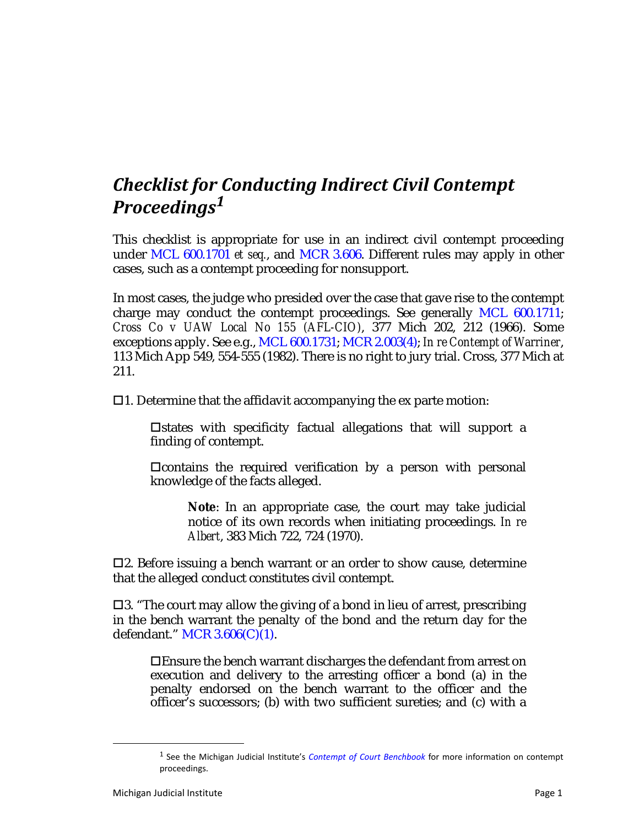## *Checklist for Conducting Indirect Civil Contempt Proceedings<sup>1</sup>*

This checklist is appropriate for use in an indirect civil contempt proceeding under MCL 600.1701 *et seq.*, and MCR 3.606. Different rules may apply in other cases, such as a contempt proceeding for nonsupport.

In most cases, the judge who presided over the case that gave rise to the contempt charge may conduct the contempt proceedings. See generally MCL 600.1711; *Cross Co v UAW Local No 155 (AFL-CIO)*, 377 Mich 202, 212 (1966). Some exceptions apply. See e.g., MCL 600.1731; MCR 2.003(4); *In re Contempt of Warriner*, 113 Mich App 549, 554-555 (1982). There is no right to jury trial. Cross, 377 Mich at 211.

 $\Box$ 1. Determine that the affidavit accompanying the ex parte motion:

 $\Box$ states with specificity factual allegations that will support a finding of contempt.

 $\Box$ contains the required verification by a person with personal knowledge of the facts alleged.

**Note**: In an appropriate case, the court may take judicial notice of its own records when initiating proceedings. *In re Albert*, 383 Mich 722, 724 (1970).

 $\Box$ 2. Before issuing a bench warrant or an order to show cause, determine that the alleged conduct constitutes civil contempt.

 $\Box$ 3. "The court may allow the giving of a bond in lieu of arrest, prescribing in the bench warrant the penalty of the bond and the return day for the defendant." MCR 3.606(C)(1).

Ensure the bench warrant discharges the defendant from arrest on execution and delivery to the arresting officer a bond (a) in the penalty endorsed on the bench warrant to the officer and the officer's successors; (b) with two sufficient sureties; and (c) with a

<sup>1</sup> See the Michigan Judicial Institute's *Contempt of Court Benchbook* for more information on contempt proceedings.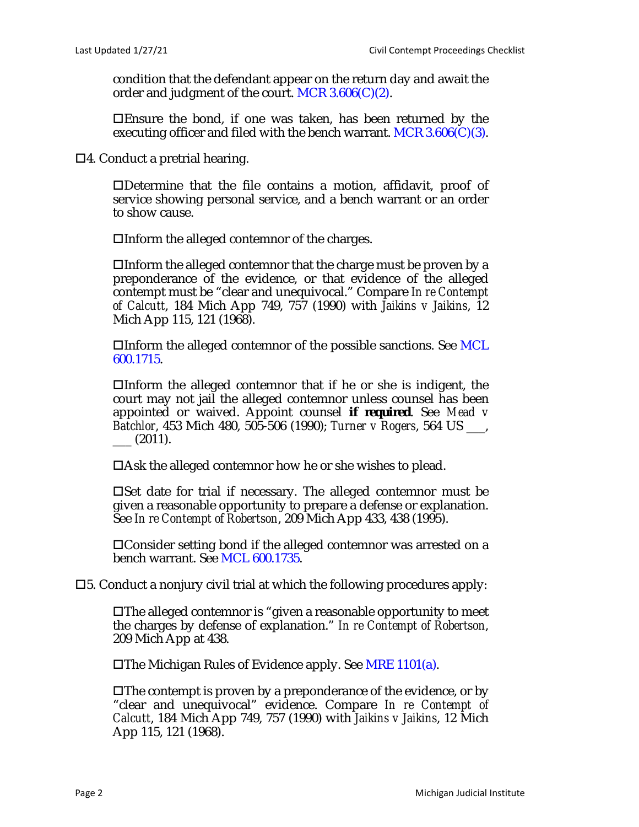condition that the defendant appear on the return day and await the order and judgment of the court. MCR  $3.606(C)(2)$ .

Ensure the bond, if one was taken, has been returned by the executing officer and filed with the bench warrant. MCR  $3.606(C)(3)$ .

4. Conduct a pretrial hearing.

Determine that the file contains a motion, affidavit, proof of service showing personal service, and a bench warrant or an order to show cause.

Inform the alleged contemnor of the charges.

Inform the alleged contemnor that the charge must be proven by a preponderance of the evidence, or that evidence of the alleged contempt must be "clear and unequivocal." Compare *In re Contempt of Calcutt*, 184 Mich App 749, 757 (1990) with *Jaikins v Jaikins*, 12 Mich App 115, 121 (1968).

 $\Box$ Inform the alleged contemnor of the possible sanctions. See MCL 600.1715.

 $\Box$ Inform the alleged contemnor that if he or she is indigent, the court may not jail the alleged contemnor unless counsel has been appointed or waived. Appoint counsel *if required*. See *Mead v Batchlor*, 453 Mich 480, 505-506 (1990); *Turner v Rogers*, 564 US \_\_\_,  $\_\_$  (2011).

Ask the alleged contemnor how he or she wishes to plead.

 $\square$  Set date for trial if necessary. The alleged contemnor must be given a reasonable opportunity to prepare a defense or explanation. See *In re Contempt of Robertson*, 209 Mich App 433, 438 (1995).

Consider setting bond if the alleged contemnor was arrested on a bench warrant. See MCL 600.1735.

5. Conduct a nonjury civil trial at which the following procedures apply:

The alleged contemnor is "given a reasonable opportunity to meet the charges by defense of explanation." *In re Contempt of Robertson*, 209 Mich App at 438.

The Michigan Rules of Evidence apply. See MRE 1101(a).

 $\square$  The contempt is proven by a preponderance of the evidence, or by "clear and unequivocal" evidence. Compare *In re Contempt of Calcutt*, 184 Mich App 749, 757 (1990) with *Jaikins v Jaikins*, 12 Mich App 115, 121 (1968).